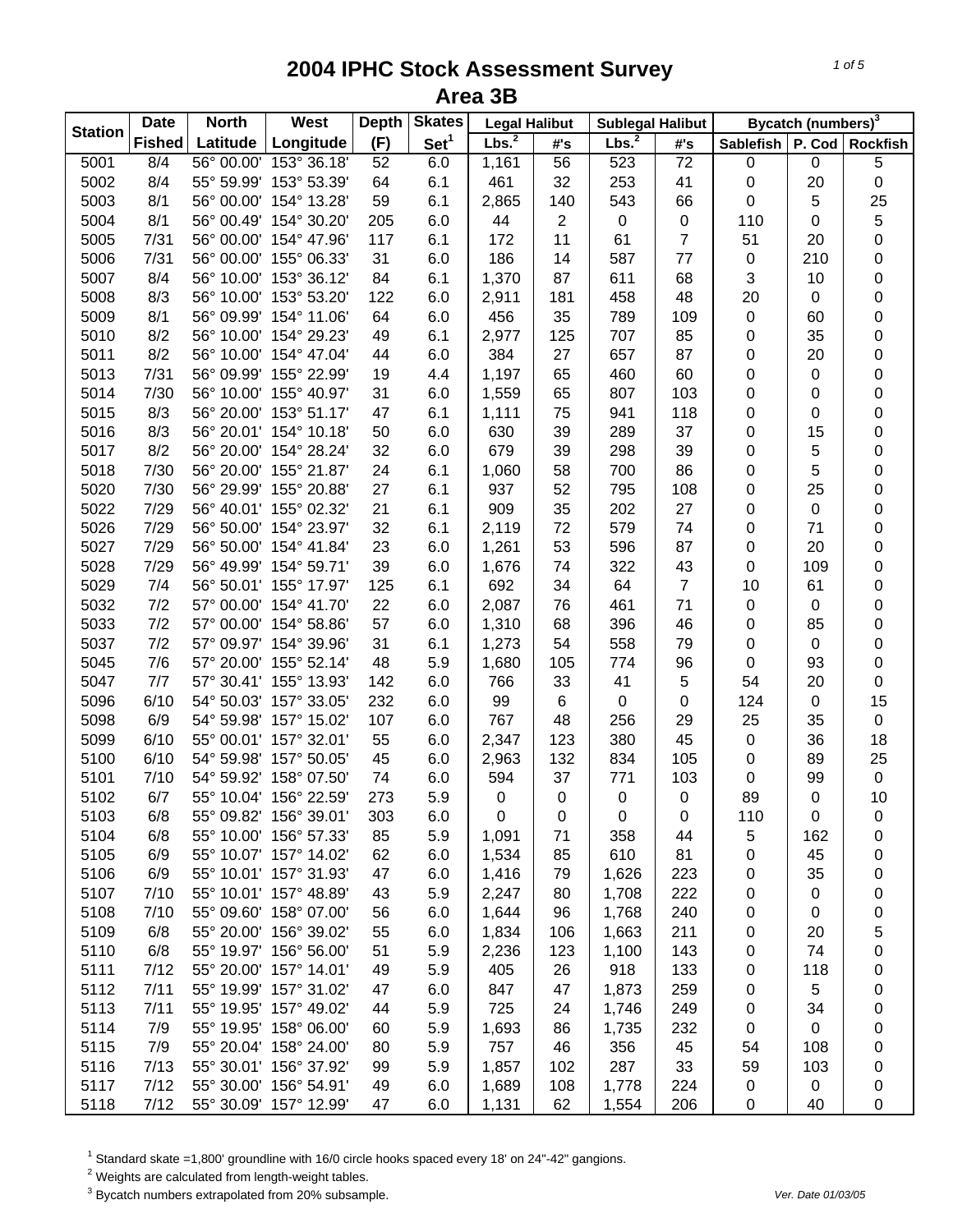| <b>Station</b><br>Lbs. <sup>2</sup><br>Set <sup>1</sup><br>Lbs. <sup>2</sup><br>(F)<br><b>Fished</b><br>Latitude<br>Longitude<br>#'s<br>#'s<br>153° 36.18'<br>$\overline{72}$<br>5001<br>8/4<br>56° 00.00'<br>52<br>6.0<br>56<br>523<br>1,161 | Sablefish<br>0 | P. Cod Rockfish  |             |
|-----------------------------------------------------------------------------------------------------------------------------------------------------------------------------------------------------------------------------------------------|----------------|------------------|-------------|
|                                                                                                                                                                                                                                               |                |                  |             |
|                                                                                                                                                                                                                                               |                | 0                | 5           |
| 5002<br>8/4<br>55° 59.99' 153° 53.39'<br>253<br>64<br>6.1<br>461<br>32<br>41                                                                                                                                                                  | $\pmb{0}$      | 20               | 0           |
| 5003<br>8/1<br>56° 00.00' 154° 13.28'<br>59<br>543<br>6.1<br>2,865<br>140<br>66                                                                                                                                                               | 0              | 5                | 25          |
| 8/1<br>56° 00.49' 154° 30.20'<br>$\overline{2}$<br>5004<br>205<br>6.0<br>44<br>$\pmb{0}$<br>0                                                                                                                                                 | 110            | 0                | 5           |
| $\overline{7}$<br>7/31<br>56° 00.00' 154° 47.96'<br>172<br>11<br>61<br>5005<br>117<br>6.1                                                                                                                                                     | 51             | 20               | 0           |
| 7/31<br>56° 00.00' 155° 06.33'<br>31<br>6.0<br>186<br>5006<br>14<br>587<br>77                                                                                                                                                                 | $\pmb{0}$      | 210              | 0           |
| 8/4<br>56° 10.00' 153° 36.12'<br>84<br>611<br>5007<br>6.1<br>1,370<br>87<br>68                                                                                                                                                                | 3              | 10               | 0           |
| 8/3<br>56° 10.00' 153° 53.20'<br>6.0<br>458<br>48<br>5008<br>122<br>2,911<br>181                                                                                                                                                              | 20             | $\pmb{0}$        | 0           |
| 5009<br>8/1<br>56° 09.99' 154° 11.06'<br>456<br>789<br>109<br>64<br>6.0<br>35                                                                                                                                                                 | $\pmb{0}$      | 60               | 0           |
| 8/2<br>56° 10.00' 154° 29.23'<br>49<br>6.1<br>125<br>707<br>5010<br>2,977<br>85                                                                                                                                                               | 0              | 35               | 0           |
| 8/2<br>56° 10.00' 154° 47.04'<br>44<br>384<br>657<br>5011<br>6.0<br>27<br>87                                                                                                                                                                  | 0              | 20               | 0           |
| 7/31<br>56° 09.99' 155° 22.99'<br>4.4<br>1,197<br>460<br>60<br>5013<br>19<br>65                                                                                                                                                               | 0              | 0                | 0           |
| 7/30<br>103<br>5014<br>56° 10.00' 155° 40.97'<br>31<br>6.0<br>1,559<br>65<br>807                                                                                                                                                              | 0              | 0                | 0           |
| 8/3<br>5015<br>56° 20.00' 153° 51.17'<br>47<br>6.1<br>1,111<br>75<br>941<br>118                                                                                                                                                               | 0              | 0                | 0           |
| 8/3<br>56° 20.01' 154° 10.18'<br>5016<br>50<br>6.0<br>630<br>39<br>289<br>37                                                                                                                                                                  | 0              | 15               | 0           |
| 8/2<br>56° 20.00' 154° 28.24'<br>32<br>679<br>298<br>5017<br>6.0<br>39<br>39                                                                                                                                                                  | 0              | 5                | 0           |
| 7/30<br>56° 20.00' 155° 21.87'<br>700<br>5018<br>24<br>6.1<br>58<br>86<br>1,060                                                                                                                                                               | 0              | 5                | 0           |
| 5020<br>7/30<br>56° 29.99' 155° 20.88'<br>795<br>27<br>6.1<br>937<br>52<br>108                                                                                                                                                                | 0              | 25               | 0           |
| 5022<br>7/29<br>56° 40.01' 155° 02.32'<br>21<br>909<br>35<br>202<br>27<br>6.1                                                                                                                                                                 | 0              | $\boldsymbol{0}$ | 0           |
| 5026<br>7/29<br>56° 50.00' 154° 23.97'<br>32<br>72<br>579<br>74<br>6.1<br>2,119                                                                                                                                                               | 0              | 71               | 0           |
| 7/29<br>5027<br>56° 50.00' 154° 41.84'<br>23<br>6.0<br>596<br>87<br>1,261<br>53                                                                                                                                                               | 0              | 20               | 0           |
| 39<br>7/29<br>56° 49.99' 154° 59.71'<br>6.0<br>322<br>43<br>5028<br>1,676<br>74                                                                                                                                                               | 0              | 109              | 0           |
| 7/4<br>56° 50.01' 155° 17.97'<br>6.1<br>64<br>$\overline{7}$<br>5029<br>125<br>692<br>34                                                                                                                                                      | 10             | 61               | 0           |
| 7/2<br>57° 00.00' 154° 41.70'<br>22<br>6.0<br>461<br>71<br>5032<br>2,087<br>76                                                                                                                                                                | 0              | $\pmb{0}$        | $\mathsf 0$ |
| 5033<br>7/2<br>57° 00.00' 154° 58.86'<br>57<br>6.0<br>396<br>1,310<br>68<br>46                                                                                                                                                                | $\pmb{0}$      | 85               | $\mathsf 0$ |
| 5037<br>7/2<br>57° 09.97' 154° 39.96'<br>31<br>54<br>558<br>6.1<br>1,273<br>79                                                                                                                                                                | $\pmb{0}$      | $\pmb{0}$        | $\mathsf 0$ |
| 7/6<br>48<br>5.9<br>5045<br>57° 20.00' 155° 52.14'<br>1,680<br>105<br>774<br>96                                                                                                                                                               | $\pmb{0}$      | 93               | 0           |
| 7/7<br>57° 30.41' 155° 13.93'<br>41<br>5<br>5047<br>142<br>6.0<br>766<br>33                                                                                                                                                                   | 54             | 20               | $\mathsf 0$ |
| 5096<br>6/10<br>99<br>54° 50.03' 157° 33.05'<br>232<br>6.0<br>6<br>$\pmb{0}$<br>0                                                                                                                                                             | 124            | $\boldsymbol{0}$ | 15          |
| 6/9<br>767<br>256<br>5098<br>54° 59.98' 157° 15.02'<br>107<br>6.0<br>48<br>29                                                                                                                                                                 | 25             | 35               | 0           |
| 6/10<br>45<br>5099<br>55° 00.01' 157° 32.01'<br>55<br>6.0<br>2,347<br>123<br>380                                                                                                                                                              | $\pmb{0}$      | 36               | 18          |
| 5100<br>6/10<br>54° 59.98' 157° 50.05'<br>45<br>6.0<br>2,963<br>132<br>834<br>105                                                                                                                                                             | 0              | 89               | 25          |
| 5101<br>54° 59.92' 158° 07.50'<br>7/10<br>6.0<br>594<br>37<br>771<br>103<br>74                                                                                                                                                                | $\pmb{0}$      | 99               | $\pmb{0}$   |
| 5102<br>6/7<br>5.9<br>55° 10.04' 156° 22.59'<br>273<br>$\pmb{0}$<br>0<br>0<br>$\pmb{0}$                                                                                                                                                       | 89             | 0                | 10          |
| 55° 09.82' 156° 39.01'<br>5103<br>6/8<br>303<br>6.0<br>0<br>0<br>0<br>0                                                                                                                                                                       | 110            | 0                | 0           |
| 5104<br>6/8<br>55° 10.00' 156° 57.33'<br>85<br>5.9<br>1,091<br>71<br>358<br>44                                                                                                                                                                | 5              | 162              | 0           |
| 5105<br>6/9<br>55° 10.07' 157° 14.02'<br>62<br>6.0<br>1,534<br>610<br>85<br>81                                                                                                                                                                | 0              | 45               | 0           |
| 5106<br>6/9<br>55° 10.01' 157° 31.93'<br>47<br>6.0<br>223<br>1,416<br>79<br>1,626                                                                                                                                                             | 0              | 35               | 0           |
| 5107<br>7/10<br>55° 10.01' 157° 48.89'<br>43<br>5.9<br>2,247<br>1,708<br>222<br>80                                                                                                                                                            | 0              | 0                | 0           |
| 5108<br>7/10<br>55° 09.60' 158° 07.00'<br>6.0<br>1,644<br>1,768<br>240<br>56<br>96                                                                                                                                                            | 0              | 0                | 0           |
| 5109<br>6/8<br>55° 20.00' 156° 39.02'<br>6.0<br>1,663<br>211<br>55<br>1,834<br>106                                                                                                                                                            | 0              | 20               | 5           |
| 5110<br>6/8<br>55° 19.97' 156° 56.00'<br>51<br>5.9<br>2,236<br>123<br>1,100<br>143                                                                                                                                                            | 0              | 74               | 0           |
| 5111<br>7/12<br>55° 20.00' 157° 14.01'<br>49<br>5.9<br>405<br>26<br>918<br>133                                                                                                                                                                | 0              | 118              | 0           |
| 5112<br>7/11<br>55° 19.99' 157° 31.02'<br>6.0<br>847<br>1,873<br>259<br>47<br>47                                                                                                                                                              | 0              | 5                | 0           |
| 5113<br>7/11<br>55° 19.95' 157° 49.02'<br>5.9<br>725<br>24<br>1,746<br>249<br>44                                                                                                                                                              | 0              | 34               | 0           |
| 5114<br>7/9<br>55° 19.95' 158° 06.00'<br>232<br>5.9<br>1,693<br>1,735<br>60<br>86                                                                                                                                                             | 0              | 0                | 0           |
| 5115<br>7/9<br>55° 20.04' 158° 24.00'<br>5.9<br>356<br>45<br>80<br>757<br>46                                                                                                                                                                  | 54             | 108              | 0           |
| 7/13<br>55° 30.01' 156° 37.92'<br>287<br>5116<br>5.9<br>1,857<br>33<br>99<br>102                                                                                                                                                              | 59             | 103              | 0           |
| 5117<br>7/12<br>55° 30.00' 156° 54.91'<br>6.0<br>1,689<br>108<br>1,778<br>224<br>49                                                                                                                                                           | 0              | 0                | 0           |
| 55° 30.09' 157° 12.99'<br>5118<br>7/12<br>6.0<br>1,131<br>62<br>1,554<br>47<br>206                                                                                                                                                            | 0              | 40               | 0           |

<sup>1</sup> Standard skate =1,800' groundline with 16/0 circle hooks spaced every 18' on 24"-42" gangions.<br><sup>2</sup> Weights are calculated from length-weight tables.<br><sup>3</sup> Bycatch numbers extrapolated from 20% subsample.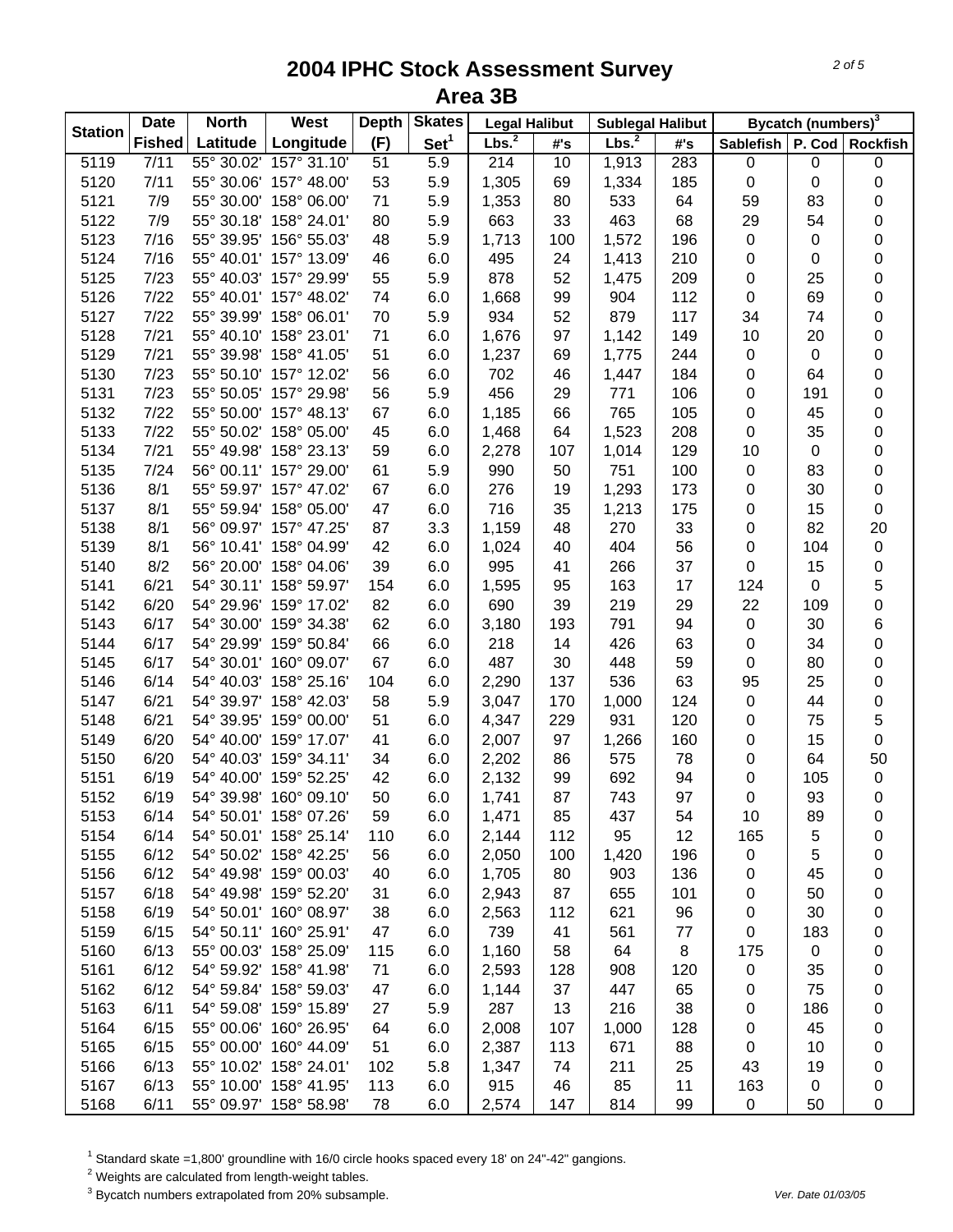| <b>Station</b> | <b>Date</b>   | <b>North</b> | West                   | <b>Depth</b> | <b>Skates</b>    | <b>Legal Halibut</b> |     | <b>Sublegal Halibut</b> |     | Bycatch (numbers) <sup>3</sup> |             |                 |  |
|----------------|---------------|--------------|------------------------|--------------|------------------|----------------------|-----|-------------------------|-----|--------------------------------|-------------|-----------------|--|
|                | <b>Fished</b> | Latitude     | Longitude              | (F)          | Set <sup>1</sup> | Lbs. <sup>2</sup>    | #'s | Lbs. <sup>2</sup>       | #'s | <b>Sablefish</b>               |             | P. Cod Rockfish |  |
| 5119           | 7/11          |              | 55° 30.02' 157° 31.10' | 51           | 5.9              | 214                  | 10  | 1,913                   | 283 | $\pmb{0}$                      | $\pmb{0}$   | $\pmb{0}$       |  |
| 5120           | 7/11          | 55° 30.06'   | 157° 48.00'            | 53           | 5.9              | 1,305                | 69  | 1,334                   | 185 | $\pmb{0}$                      | $\pmb{0}$   | 0               |  |
| 5121           | 7/9           |              | 55° 30.00' 158° 06.00' | 71           | 5.9              | 1,353                | 80  | 533                     | 64  | 59                             | 83          | 0               |  |
| 5122           | 7/9           |              | 55° 30.18' 158° 24.01' | 80           | 5.9              | 663                  | 33  | 463                     | 68  | 29                             | 54          | 0               |  |
| 5123           | 7/16          |              | 55° 39.95' 156° 55.03' | 48           | 5.9              | 1,713                | 100 | 1,572                   | 196 | $\pmb{0}$                      | $\pmb{0}$   | 0               |  |
| 5124           | 7/16          |              | 55° 40.01' 157° 13.09' | 46           | 6.0              | 495                  | 24  | 1,413                   | 210 | 0                              | $\pmb{0}$   | 0               |  |
| 5125           | 7/23          |              | 55° 40.03' 157° 29.99' | 55           | 5.9              | 878                  | 52  | 1,475                   | 209 | $\mathbf 0$                    | 25          | 0               |  |
| 5126           | 7/22          |              | 55° 40.01' 157° 48.02' | 74           | 6.0              | 1,668                | 99  | 904                     | 112 | $\mathbf 0$                    | 69          | 0               |  |
| 5127           | 7/22          |              | 55° 39.99' 158° 06.01' | 70           | 5.9              | 934                  | 52  | 879                     | 117 | 34                             | 74          | 0               |  |
| 5128           | 7/21          |              | 55° 40.10' 158° 23.01' | 71           | 6.0              | 1,676                | 97  | 1,142                   | 149 | 10                             | 20          | 0               |  |
| 5129           | 7/21          |              | 55° 39.98' 158° 41.05' | 51           | 6.0              | 1,237                | 69  | 1,775                   | 244 | 0                              | $\pmb{0}$   | 0               |  |
| 5130           | 7/23          |              | 55° 50.10' 157° 12.02' | 56           | 6.0              | 702                  | 46  | 1,447                   | 184 | 0                              | 64          | 0               |  |
| 5131           | 7/23          |              | 55° 50.05' 157° 29.98' | 56           | 5.9              | 456                  | 29  | 771                     | 106 | 0                              | 191         | 0               |  |
| 5132           | 7/22          |              | 55° 50.00' 157° 48.13' | 67           | 6.0              | 1,185                | 66  | 765                     | 105 | 0                              | 45          | 0               |  |
| 5133           | 7/22          |              | 55° 50.02' 158° 05.00' | 45           | 6.0              | 1,468                | 64  | 1,523                   | 208 | 0                              | 35          | 0               |  |
| 5134           | $7/21$        |              | 55° 49.98' 158° 23.13' | 59           | 6.0              | 2,278                | 107 | 1,014                   | 129 | 10                             | $\pmb{0}$   | 0               |  |
| 5135           | 7/24          |              | 56° 00.11' 157° 29.00' | 61           | 5.9              | 990                  | 50  | 751                     | 100 | 0                              | 83          | 0               |  |
| 5136           | 8/1           |              | 55° 59.97' 157° 47.02' | 67           | 6.0              | 276                  | 19  | 1,293                   | 173 | 0                              | 30          | 0               |  |
| 5137           | 8/1           |              | 55° 59.94' 158° 05.00' | 47           | 6.0              | 716                  | 35  | 1,213                   | 175 | 0                              | 15          | 0               |  |
| 5138           | 8/1           |              | 56° 09.97' 157° 47.25' | 87           | 3.3              | 1,159                | 48  | 270                     | 33  | 0                              | 82          | 20              |  |
| 5139           | 8/1           |              | 56° 10.41' 158° 04.99' | 42           | 6.0              | 1,024                | 40  | 404                     | 56  | $\pmb{0}$                      | 104         | $\pmb{0}$       |  |
| 5140           | 8/2           |              | 56° 20.00' 158° 04.06' | 39           | 6.0              | 995                  | 41  | 266                     | 37  | 0                              | 15          | 0               |  |
| 5141           | 6/21          |              | 54° 30.11' 158° 59.97' | 154          | 6.0              | 1,595                | 95  | 163                     | 17  | 124                            | $\mathbf 0$ | 5               |  |
| 5142           | 6/20          |              | 54° 29.96' 159° 17.02' | 82           | 6.0              | 690                  | 39  | 219                     | 29  | 22                             | 109         | 0               |  |
| 5143           | 6/17          |              | 54° 30.00' 159° 34.38' | 62           | 6.0              | 3,180                | 193 | 791                     | 94  | $\pmb{0}$                      | 30          | 6               |  |
| 5144           | 6/17          |              | 54° 29.99' 159° 50.84' | 66           | 6.0              | 218                  | 14  | 426                     | 63  | $\pmb{0}$                      | 34          | 0               |  |
| 5145           | 6/17          |              | 54° 30.01' 160° 09.07' | 67           | 6.0              | 487                  | 30  | 448                     | 59  | $\pmb{0}$                      | 80          | 0               |  |
| 5146           | 6/14          |              | 54° 40.03' 158° 25.16' | 104          | 6.0              | 2,290                | 137 | 536                     | 63  | 95                             | 25          | 0               |  |
| 5147           | 6/21          |              | 54° 39.97' 158° 42.03' | 58           | 5.9              | 3,047                | 170 | 1,000                   | 124 | 0                              | 44          | 0               |  |
| 5148           | 6/21          |              | 54° 39.95' 159° 00.00' | 51           | 6.0              | 4,347                | 229 | 931                     | 120 | 0                              | 75          | 5               |  |
| 5149           | 6/20          |              | 54° 40.00' 159° 17.07' | 41           | 6.0              | 2,007                | 97  | 1,266                   | 160 | 0                              | 15          | 0               |  |
| 5150           | 6/20          |              | 54° 40.03' 159° 34.11' | 34           | 6.0              | 2,202                | 86  | 575                     | 78  | 0                              | 64          | 50              |  |
| 5151           | 6/19          | 54° 40.00'   | 159° 52.25'            | 42           | 6.0              | 2,132                | 99  | 692                     | 94  | 0                              | 105         | $\pmb{0}$       |  |
| 5152           | 6/19          |              | 54° 39.98' 160° 09.10' | 50           | 6.0              | 1,741                | 87  | 743                     | 97  | 0                              | 93          | 0               |  |
| 5153           | 6/14          |              | 54° 50.01' 158° 07.26' | 59           | 6.0              | 1,471                | 85  | 437                     | 54  | 10                             | 89          | 0               |  |
| 5154           | 6/14          |              | 54° 50.01' 158° 25.14' | 110          | 6.0              | 2,144                | 112 | 95                      | 12  | 165                            | 5           | 0               |  |
| 5155           | 6/12          |              | 54° 50.02' 158° 42.25' | 56           | 6.0              | 2,050                | 100 | 1,420                   | 196 | 0                              | 5           | 0               |  |
| 5156           | 6/12          |              | 54° 49.98' 159° 00.03' | 40           | 6.0              | 1,705                | 80  | 903                     | 136 | 0                              | 45          | 0               |  |
| 5157           | 6/18          |              | 54° 49.98' 159° 52.20' | 31           | 6.0              | 2,943                | 87  | 655                     | 101 | 0                              | 50          | 0               |  |
| 5158           | 6/19          |              | 54° 50.01' 160° 08.97' | 38           | 6.0              | 2,563                | 112 | 621                     | 96  | 0                              | 30          | 0               |  |
| 5159           | 6/15          |              | 54° 50.11' 160° 25.91' | 47           | 6.0              | 739                  | 41  | 561                     | 77  | $\pmb{0}$                      | 183         | 0               |  |
| 5160           | 6/13          |              | 55° 00.03' 158° 25.09' | 115          | 6.0              | 1,160                | 58  | 64                      | 8   | 175                            | $\mathbf 0$ | 0               |  |
| 5161           | 6/12          |              | 54° 59.92' 158° 41.98' | 71           | 6.0              | 2,593                | 128 | 908                     | 120 | 0                              | 35          | 0               |  |
| 5162           | 6/12          |              | 54° 59.84' 158° 59.03' | 47           | 6.0              | 1,144                | 37  | 447                     | 65  | 0                              | 75          | 0               |  |
| 5163           | 6/11          |              | 54° 59.08' 159° 15.89' | 27           | 5.9              | 287                  | 13  | 216                     | 38  | 0                              | 186         | 0               |  |
| 5164           | 6/15          |              | 55° 00.06' 160° 26.95' | 64           | 6.0              | 2,008                | 107 | 1,000                   | 128 | 0                              | 45          | 0               |  |
| 5165           | 6/15          |              | 55° 00.00' 160° 44.09' | 51           | 6.0              | 2,387                | 113 | 671                     | 88  | 0                              | 10          | 0               |  |
| 5166           | 6/13          |              | 55° 10.02' 158° 24.01' | 102          | 5.8              | 1,347                | 74  | 211                     | 25  | 43                             | 19          | 0               |  |
| 5167           | 6/13          |              | 55° 10.00' 158° 41.95' | 113          | 6.0              | 915                  | 46  | 85                      | 11  | 163                            | 0           | 0               |  |
| 5168           | 6/11          |              | 55° 09.97' 158° 58.98' | 78           | 6.0              | 2,574                | 147 | 814                     | 99  | $\pmb{0}$                      | 50          | 0               |  |

 $^1$  Standard skate =1,800' groundline with 16/0 circle hooks spaced every 18' on 24"-42" gangions.<br><sup>2</sup> Weights are calculated from length-weight tables.

3 Bycatch numbers extrapolated from 20% subsample. *Ver. Date 01/03/05*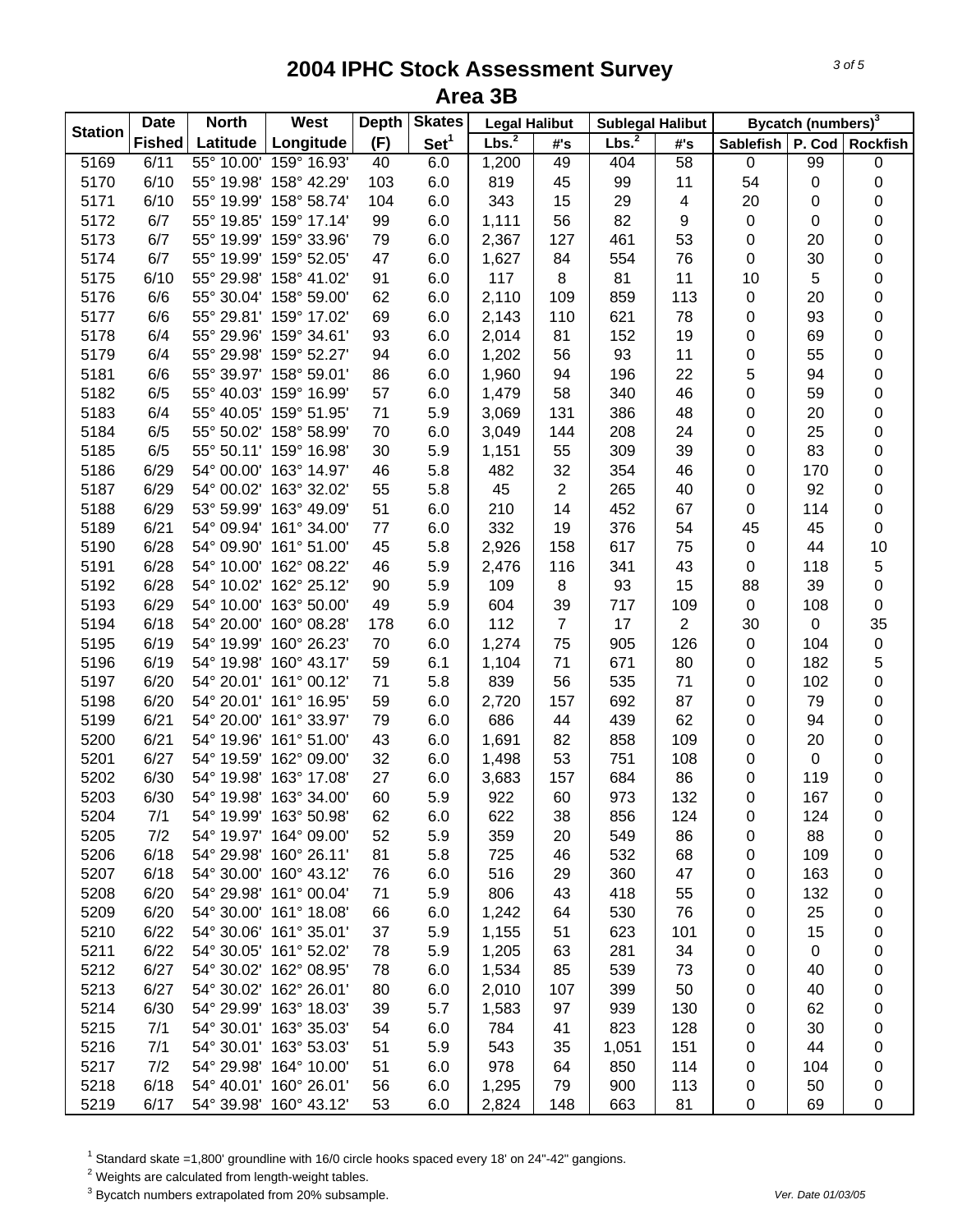| <b>Station</b> | <b>Date</b>   | <b>North</b> | West                   | <b>Depth</b> | <b>Skates</b>    | <b>Legal Halibut</b> |                | <b>Sublegal Halibut</b> |                | Bycatch (numbers) <sup>3</sup> |             |                 |  |
|----------------|---------------|--------------|------------------------|--------------|------------------|----------------------|----------------|-------------------------|----------------|--------------------------------|-------------|-----------------|--|
|                | <b>Fished</b> | Latitude     | Longitude              | (F)          | Set <sup>1</sup> | Lbs. <sup>2</sup>    | #'s            | Lbs. <sup>2</sup>       | #'s            | <b>Sablefish</b>               |             | P. Cod Rockfish |  |
| 5169           | 6/11          | 55° 10.00'   | 159° 16.93'            | 40           | 6.0              | 1,200                | 49             | 404                     | 58             | $\pmb{0}$                      | 99          | 0               |  |
| 5170           | 6/10          |              | 55° 19.98' 158° 42.29' | 103          | 6.0              | 819                  | 45             | 99                      | 11             | 54                             | 0           | 0               |  |
| 5171           | 6/10          |              | 55° 19.99' 158° 58.74' | 104          | 6.0              | 343                  | 15             | 29                      | 4              | 20                             | 0           | 0               |  |
| 5172           | 6/7           |              | 55° 19.85' 159° 17.14' | 99           | 6.0              | 1,111                | 56             | 82                      | 9              | 0                              | 0           | 0               |  |
| 5173           | 6/7           |              | 55° 19.99' 159° 33.96' | 79           | 6.0              | 2,367                | 127            | 461                     | 53             | 0                              | 20          | 0               |  |
| 5174           | 6/7           |              | 55° 19.99' 159° 52.05' | 47           | 6.0              | 1,627                | 84             | 554                     | 76             | 0                              | 30          | 0               |  |
| 5175           | 6/10          |              | 55° 29.98' 158° 41.02' | 91           | 6.0              | 117                  | 8              | 81                      | 11             | 10                             | $\sqrt{5}$  | 0               |  |
| 5176           | 6/6           |              | 55° 30.04' 158° 59.00' | 62           | 6.0              | 2,110                | 109            | 859                     | 113            | 0                              | 20          | 0               |  |
| 5177           | 6/6           |              | 55° 29.81' 159° 17.02' | 69           | 6.0              | 2,143                | 110            | 621                     | 78             | 0                              | 93          | 0               |  |
| 5178           | 6/4           |              | 55° 29.96' 159° 34.61' | 93           | 6.0              | 2,014                | 81             | 152                     | 19             | 0                              | 69          | 0               |  |
| 5179           | 6/4           |              | 55° 29.98' 159° 52.27' | 94           | 6.0              | 1,202                | 56             | 93                      | 11             | 0                              | 55          | 0               |  |
| 5181           | 6/6           |              | 55° 39.97' 158° 59.01' | 86           | 6.0              | 1,960                | 94             | 196                     | 22             | 5                              | 94          | 0               |  |
| 5182           | 6/5           |              | 55° 40.03' 159° 16.99' | 57           | 6.0              | 1,479                | 58             | 340                     | 46             | 0                              | 59          | 0               |  |
| 5183           | 6/4           |              | 55° 40.05' 159° 51.95' | 71           | 5.9              | 3,069                | 131            | 386                     | 48             | 0                              | 20          | 0               |  |
| 5184           | 6/5           |              | 55° 50.02' 158° 58.99' | 70           | 6.0              | 3,049                | 144            | 208                     | 24             | 0                              | 25          | 0               |  |
| 5185           | 6/5           |              | 55° 50.11' 159° 16.98' | 30           | 5.9              | 1,151                | 55             | 309                     | 39             | 0                              | 83          | 0               |  |
| 5186           | 6/29          |              | 54° 00.00' 163° 14.97' | 46           | 5.8              | 482                  | 32             | 354                     | 46             | 0                              | 170         | 0               |  |
| 5187           | 6/29          |              | 54° 00.02' 163° 32.02' | 55           | 5.8              | 45                   | $\overline{2}$ | 265                     | 40             | 0                              | 92          | 0               |  |
| 5188           | 6/29          |              | 53° 59.99' 163° 49.09' | 51           | 6.0              | 210                  | 14             | 452                     | 67             | 0                              | 114         | 0               |  |
| 5189           | 6/21          |              | 54° 09.94' 161° 34.00' | 77           | 6.0              | 332                  | 19             | 376                     | 54             | 45                             | 45          | 0               |  |
| 5190           | 6/28          |              | 54° 09.90' 161° 51.00' | 45           | 5.8              | 2,926                | 158            | 617                     | 75             | 0                              | 44          | 10              |  |
| 5191           | 6/28          |              | 54° 10.00' 162° 08.22' | 46           | 5.9              | 2,476                | 116            | 341                     | 43             | $\pmb{0}$                      | 118         | 5               |  |
| 5192           | 6/28          |              | 54° 10.02' 162° 25.12' | 90           | 5.9              | 109                  | 8              | 93                      | 15             | 88                             | 39          | 0               |  |
| 5193           | 6/29          |              | 54° 10.00' 163° 50.00' | 49           | 5.9              | 604                  | 39             | 717                     | 109            | $\pmb{0}$                      | 108         | $\mathsf 0$     |  |
| 5194           | 6/18          |              | 54° 20.00' 160° 08.28' | 178          | 6.0              | 112                  | $\overline{7}$ | 17                      | $\overline{c}$ | 30                             | $\mathsf 0$ | 35              |  |
| 5195           | 6/19          |              | 54° 19.99' 160° 26.23' | 70           | 6.0              | 1,274                | 75             | 905                     | 126            | $\pmb{0}$                      | 104         | $\pmb{0}$       |  |
| 5196           | 6/19          |              | 54° 19.98' 160° 43.17' | 59           | 6.1              | 1,104                | 71             | 671                     | 80             | $\pmb{0}$                      | 182         | 5               |  |
| 5197           | 6/20          |              | 54° 20.01' 161° 00.12' | 71           | 5.8              | 839                  | 56             | 535                     | 71             | 0                              | 102         | 0               |  |
| 5198           | 6/20          |              | 54° 20.01' 161° 16.95' | 59           | 6.0              | 2,720                | 157            | 692                     | 87             | 0                              | 79          | 0               |  |
| 5199           | 6/21          |              | 54° 20.00' 161° 33.97' | 79           | 6.0              | 686                  | 44             | 439                     | 62             | 0                              | 94          | 0               |  |
| 5200           | 6/21          |              | 54° 19.96' 161° 51.00' | 43           | 6.0              | 1,691                | 82             | 858                     | 109            | 0                              | 20          | 0               |  |
| 5201           | 6/27          |              | 54° 19.59' 162° 09.00' | 32           | 6.0              | 1,498                | 53             | 751                     | 108            | 0                              | $\pmb{0}$   | 0               |  |
| 5202           | 6/30          |              | 54° 19.98' 163° 17.08' | 27           | 6.0              | 3,683                | 157            | 684                     | 86             | 0                              | 119         | 0               |  |
| 5203           | 6/30          |              | 54° 19.98' 163° 34.00' | 60           | 5.9              | 922                  | 60             | 973                     | 132            | 0                              | 167         | 0               |  |
| 5204           | 7/1           |              | 54° 19.99' 163° 50.98' | 62           | 6.0              | 622                  | 38             | 856                     | 124            | 0                              | 124         | 0               |  |
| 5205           | 7/2           |              | 54° 19.97' 164° 09.00' | 52           | 5.9              | 359                  | 20             | 549                     | 86             | 0                              | 88          | 0               |  |
| 5206           | 6/18          |              | 54° 29.98' 160° 26.11' | 81           | 5.8              | 725                  | 46             | 532                     | 68             | 0                              | 109         | 0               |  |
| 5207           | 6/18          |              | 54° 30.00' 160° 43.12' | 76           | 6.0              | 516                  | 29             | 360                     | 47             | 0                              | 163         | 0               |  |
| 5208           | 6/20          |              | 54° 29.98' 161° 00.04' | 71           | 5.9              | 806                  | 43             | 418                     | 55             | 0                              | 132         | 0               |  |
| 5209           | 6/20          |              | 54° 30.00' 161° 18.08' | 66           | 6.0              | 1,242                | 64             | 530                     | 76             | 0                              | 25          | 0               |  |
| 5210           | 6/22          |              | 54° 30.06' 161° 35.01' | 37           | 5.9              | 1,155                | 51             | 623                     | 101            | 0                              | 15          | 0               |  |
| 5211           | 6/22          |              | 54° 30.05' 161° 52.02' | 78           | 5.9              | 1,205                | 63             | 281                     | 34             | 0                              | $\mathbf 0$ | 0               |  |
| 5212           | 6/27          |              | 54° 30.02' 162° 08.95' | 78           | 6.0              | 1,534                | 85             | 539                     | 73             | 0                              | 40          | 0               |  |
| 5213           | 6/27          |              | 54° 30.02' 162° 26.01' | 80           | 6.0              | 2,010                | 107            | 399                     | 50             | 0                              | 40          | 0               |  |
| 5214           | 6/30          |              | 54° 29.99' 163° 18.03' | 39           | 5.7              | 1,583                | 97             | 939                     | 130            | 0                              | 62          | 0               |  |
| 5215           | 7/1           |              | 54° 30.01' 163° 35.03' | 54           | 6.0              | 784                  | 41             | 823                     | 128            | 0                              | 30          | 0               |  |
| 5216           | 7/1           |              | 54° 30.01' 163° 53.03' | 51           | 5.9              | 543                  | 35             | 1,051                   | 151            | 0                              | 44          | 0               |  |
| 5217           | 7/2           |              | 54° 29.98' 164° 10.00' | 51           | 6.0              | 978                  | 64             | 850                     | 114            | 0                              | 104         | 0               |  |
| 5218           | 6/18          |              | 54° 40.01' 160° 26.01' | 56           | 6.0              | 1,295                | 79             | 900                     | 113            | 0                              | 50          | 0               |  |
| 5219           | 6/17          |              | 54° 39.98' 160° 43.12' | 53           | 6.0              | 2,824                | 148            | 663                     | 81             | 0                              | 69          | 0               |  |

 $^1$  Standard skate =1,800' groundline with 16/0 circle hooks spaced every 18' on 24"-42" gangions.<br><sup>2</sup> Weights are calculated from length-weight tables.

3 Bycatch numbers extrapolated from 20% subsample. *Ver. Date 01/03/05*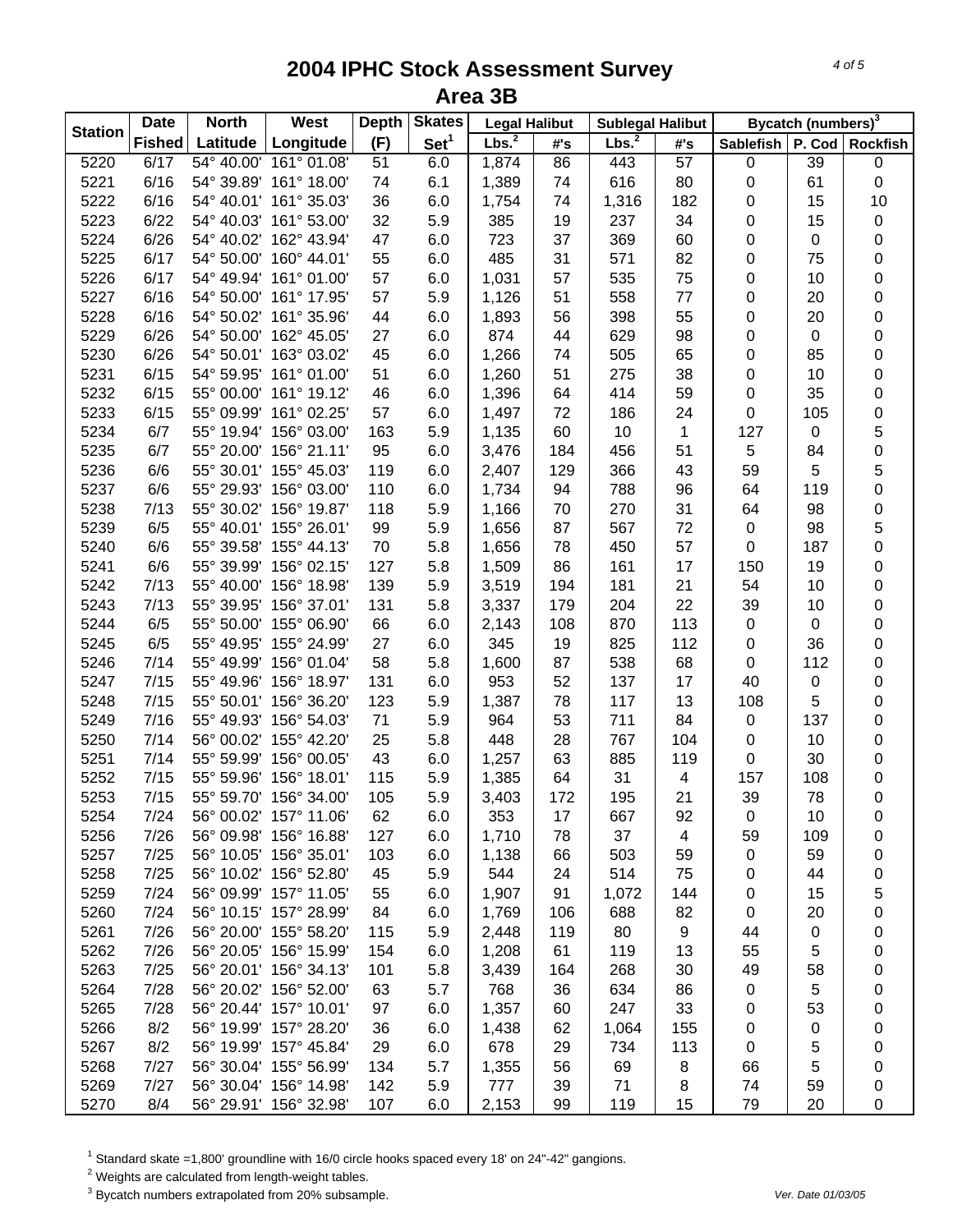| <b>Station</b> | <b>Date</b>   | <b>North</b> | West                   | <b>Depth</b> | <b>Skates</b>    | <b>Legal Halibut</b> |     | <b>Sublegal Halibut</b> |                 | Bycatch (numbers) <sup>3</sup> |           |             |  |
|----------------|---------------|--------------|------------------------|--------------|------------------|----------------------|-----|-------------------------|-----------------|--------------------------------|-----------|-------------|--|
|                | <b>Fished</b> | Latitude     | Longitude              | (F)          | Set <sup>1</sup> | Lbs. <sup>2</sup>    | #'s | Lbs. <sup>2</sup>       | #'s             | Sablefish P. Cod Rockfish      |           |             |  |
| 5220           | 6/17          |              | 54° 40.00' 161° 01.08' | 51           | 6.0              | 1,874                | 86  | 443                     | $\overline{57}$ | 0                              | 39        | 0           |  |
| 5221           | 6/16          |              | 54° 39.89' 161° 18.00' | 74           | 6.1              | 1,389                | 74  | 616                     | 80              | $\pmb{0}$                      | 61        | $\mathsf 0$ |  |
| 5222           | 6/16          |              | 54° 40.01' 161° 35.03' | 36           | 6.0              | 1,754                | 74  | 1,316                   | 182             | 0                              | 15        | 10          |  |
| 5223           | 6/22          |              | 54° 40.03' 161° 53.00' | 32           | 5.9              | 385                  | 19  | 237                     | 34              | 0                              | 15        | $\pmb{0}$   |  |
| 5224           | 6/26          |              | 54° 40.02' 162° 43.94' | 47           | 6.0              | 723                  | 37  | 369                     | 60              | 0                              | 0         | 0           |  |
| 5225           | 6/17          |              | 54° 50.00' 160° 44.01' | 55           | 6.0              | 485                  | 31  | 571                     | 82              | 0                              | 75        | 0           |  |
| 5226           | 6/17          |              | 54° 49.94' 161° 01.00' | 57           | 6.0              | 1,031                | 57  | 535                     | 75              | $\pmb{0}$                      | 10        | 0           |  |
| 5227           | 6/16          |              | 54° 50.00' 161° 17.95' | 57           | 5.9              | 1,126                | 51  | 558                     | 77              | $\pmb{0}$                      | 20        | $\mathsf 0$ |  |
| 5228           | 6/16          |              | 54° 50.02' 161° 35.96' | 44           | 6.0              | 1,893                | 56  | 398                     | 55              | $\pmb{0}$                      | 20        | $\mathsf 0$ |  |
| 5229           | 6/26          |              | 54° 50.00' 162° 45.05' | 27           | 6.0              | 874                  | 44  | 629                     | 98              | $\pmb{0}$                      | $\pmb{0}$ | 0           |  |
| 5230           | 6/26          |              | 54° 50.01' 163° 03.02' | 45           | 6.0              | 1,266                | 74  | 505                     | 65              | 0                              | 85        | 0           |  |
| 5231           | 6/15          |              | 54° 59.95' 161° 01.00' | 51           | 6.0              | 1,260                | 51  | 275                     | 38              | 0                              | 10        | 0           |  |
| 5232           | 6/15          |              | 55° 00.00' 161° 19.12' | 46           | 6.0              | 1,396                | 64  | 414                     | 59              | 0                              | 35        | 0           |  |
| 5233           | 6/15          |              | 55° 09.99' 161° 02.25' | 57           | 6.0              | 1,497                | 72  | 186                     | 24              | 0                              | 105       | 0           |  |
| 5234           | 6/7           |              | 55° 19.94' 156° 03.00' | 163          | 5.9              | 1,135                | 60  | 10                      | 1               | 127                            | 0         | 5           |  |
| 5235           | 6/7           |              | 55° 20.00' 156° 21.11' | 95           | 6.0              | 3,476                | 184 | 456                     | 51              | 5                              | 84        | 0           |  |
| 5236           | 6/6           |              | 55° 30.01' 155° 45.03' | 119          | 6.0              | 2,407                | 129 | 366                     | 43              | 59                             | 5         | 5           |  |
| 5237           | 6/6           |              | 55° 29.93' 156° 03.00' | 110          | 6.0              | 1,734                | 94  | 788                     | 96              | 64                             | 119       | 0           |  |
| 5238           | 7/13          |              | 55° 30.02' 156° 19.87' | 118          | 5.9              | 1,166                | 70  | 270                     | 31              | 64                             | 98        | 0           |  |
| 5239           | 6/5           |              | 55° 40.01' 155° 26.01' | 99           | 5.9              | 1,656                | 87  | 567                     | 72              | $\pmb{0}$                      | 98        | 5           |  |
| 5240           | 6/6           |              | 55° 39.58' 155° 44.13' | 70           | 5.8              | 1,656                | 78  | 450                     | 57              | $\pmb{0}$                      | 187       | 0           |  |
| 5241           | 6/6           |              | 55° 39.99' 156° 02.15' | 127          | 5.8              | 1,509                | 86  | 161                     | 17              | 150                            | 19        | 0           |  |
| 5242           | 7/13          |              | 55° 40.00' 156° 18.98' | 139          | 5.9              | 3,519                | 194 | 181                     | 21              | 54                             | 10        | 0           |  |
| 5243           | 7/13          |              | 55° 39.95' 156° 37.01' | 131          | 5.8              | 3,337                | 179 | 204                     | 22              | 39                             | 10        | $\mathsf 0$ |  |
| 5244           | 6/5           |              | 55° 50.00' 155° 06.90' | 66           | 6.0              |                      | 108 | 870                     | 113             | 0                              | $\pmb{0}$ | $\mathsf 0$ |  |
|                |               |              | 55° 49.95' 155° 24.99' |              |                  | 2,143                |     |                         |                 |                                | 36        |             |  |
| 5245           | 6/5           |              |                        | 27           | 6.0              | 345                  | 19  | 825                     | 112             | 0                              |           | $\mathsf 0$ |  |
| 5246           | 7/14          |              | 55° 49.99' 156° 01.04' | 58           | 5.8              | 1,600                | 87  | 538                     | 68              | $\pmb{0}$                      | 112       | $\mathsf 0$ |  |
| 5247           | 7/15          |              | 55° 49.96' 156° 18.97' | 131          | 6.0              | 953                  | 52  | 137                     | 17              | 40                             | 0         | 0           |  |
| 5248           | 7/15          |              | 55° 50.01' 156° 36.20' | 123          | 5.9              | 1,387                | 78  | 117                     | 13              | 108                            | 5         | 0           |  |
| 5249           | 7/16          |              | 55° 49.93' 156° 54.03' | 71           | 5.9              | 964                  | 53  | 711                     | 84              | $\pmb{0}$                      | 137       | 0           |  |
| 5250           | 7/14          |              | 56° 00.02' 155° 42.20' | 25           | 5.8              | 448                  | 28  | 767                     | 104             | 0                              | 10        | 0           |  |
| 5251           | 7/14          |              | 55° 59.99' 156° 00.05' | 43           | 6.0              | 1,257                | 63  | 885                     | 119             | 0                              | 30        | $\mathsf 0$ |  |
| 5252           | 7/15          |              | 55° 59.96' 156° 18.01' | 115          | 5.9              | 1,385                | 64  | 31                      | 4               | 157                            | 108       | $\mathsf 0$ |  |
| 5253           | 7/15          |              | 55° 59.70' 156° 34.00' | 105          | 5.9              | 3,403                | 172 | 195                     | 21              | 39                             | 78        | $\mathsf 0$ |  |
| 5254           | 7/24          |              | 56° 00.02' 157° 11.06' | 62           | 6.0              | 353                  | 17  | 667                     | 92              | 0                              | 10        | 0           |  |
| 5256           | 7/26          |              | 56° 09.98' 156° 16.88' | 127          | 6.0              | 1,710                | 78  | 37                      | 4               | 59                             | 109       | 0           |  |
| 5257           | 7/25          |              | 56° 10.05' 156° 35.01' | 103          | 6.0              | 1,138                | 66  | 503                     | 59              | 0                              | 59        | 0           |  |
| 5258           | 7/25          |              | 56° 10.02' 156° 52.80' | 45           | 5.9              | 544                  | 24  | 514                     | 75              | 0                              | 44        | 0           |  |
| 5259           | 7/24          |              | 56° 09.99' 157° 11.05' | 55           | 6.0              | 1,907                | 91  | 1,072                   | 144             | 0                              | 15        | 5           |  |
| 5260           | 7/24          |              | 56° 10.15' 157° 28.99' | 84           | 6.0              | 1,769                | 106 | 688                     | 82              | 0                              | 20        | 0           |  |
| 5261           | 7/26          |              | 56° 20.00' 155° 58.20' | 115          | 5.9              | 2,448                | 119 | 80                      | 9               | 44                             | 0         | 0           |  |
| 5262           | 7/26          |              | 56° 20.05' 156° 15.99' | 154          | 6.0              | 1,208                | 61  | 119                     | 13              | 55                             | 5         | 0           |  |
| 5263           | 7/25          |              | 56° 20.01' 156° 34.13' | 101          | 5.8              | 3,439                | 164 | 268                     | 30              | 49                             | 58        | 0           |  |
| 5264           | 7/28          |              | 56° 20.02' 156° 52.00' | 63           | 5.7              | 768                  | 36  | 634                     | 86              | 0                              | 5         | 0           |  |
| 5265           | 7/28          |              | 56° 20.44' 157° 10.01' | 97           | 6.0              | 1,357                | 60  | 247                     | 33              | 0                              | 53        | 0           |  |
| 5266           | 8/2           |              | 56° 19.99' 157° 28.20' | 36           | 6.0              | 1,438                | 62  | 1,064                   | 155             | 0                              | 0         | 0           |  |
| 5267           | 8/2           |              | 56° 19.99' 157° 45.84' | 29           | 6.0              | 678                  | 29  | 734                     | 113             | 0                              | 5         | 0           |  |
| 5268           | 7/27          |              | 56° 30.04' 155° 56.99' | 134          | 5.7              | 1,355                | 56  | 69                      | 8               | 66                             | 5         | 0           |  |
| 5269           | 7/27          |              | 56° 30.04' 156° 14.98' | 142          | 5.9              | 777                  | 39  | 71                      | 8               | 74                             | 59        | 0           |  |
| 5270           | 8/4           |              | 56° 29.91' 156° 32.98' | 107          | 6.0              | 2,153                | 99  | 119                     | 15              | 79                             | 20        | 0           |  |

 $^1$  Standard skate =1,800' groundline with 16/0 circle hooks spaced every 18' on 24"-42" gangions.<br><sup>2</sup> Weights are calculated from length-weight tables.

3 Bycatch numbers extrapolated from 20% subsample. *Ver. Date 01/03/05*